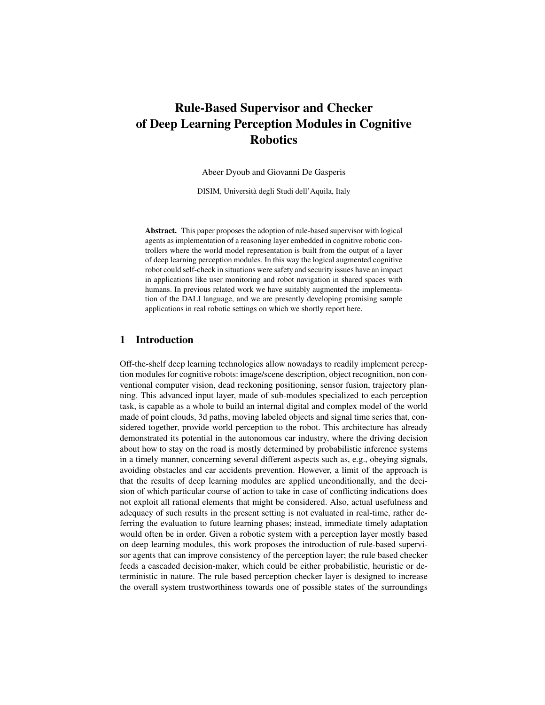# Rule-Based Supervisor and Checker of Deep Learning Perception Modules in Cognitive Robotics

Abeer Dyoub and Giovanni De Gasperis

DISIM, Universita degli Studi dell'Aquila, Italy `

Abstract. This paper proposes the adoption of rule-based supervisor with logical agents as implementation of a reasoning layer embedded in cognitive robotic controllers where the world model representation is built from the output of a layer of deep learning perception modules. In this way the logical augmented cognitive robot could self-check in situations were safety and security issues have an impact in applications like user monitoring and robot navigation in shared spaces with humans. In previous related work we have suitably augmented the implementation of the DALI language, and we are presently developing promising sample applications in real robotic settings on which we shortly report here.

## 1 Introduction

Off-the-shelf deep learning technologies allow nowadays to readily implement perception modules for cognitive robots: image/scene description, object recognition, non conventional computer vision, dead reckoning positioning, sensor fusion, trajectory planning. This advanced input layer, made of sub-modules specialized to each perception task, is capable as a whole to build an internal digital and complex model of the world made of point clouds, 3d paths, moving labeled objects and signal time series that, considered together, provide world perception to the robot. This architecture has already demonstrated its potential in the autonomous car industry, where the driving decision about how to stay on the road is mostly determined by probabilistic inference systems in a timely manner, concerning several different aspects such as, e.g., obeying signals, avoiding obstacles and car accidents prevention. However, a limit of the approach is that the results of deep learning modules are applied unconditionally, and the decision of which particular course of action to take in case of conflicting indications does not exploit all rational elements that might be considered. Also, actual usefulness and adequacy of such results in the present setting is not evaluated in real-time, rather deferring the evaluation to future learning phases; instead, immediate timely adaptation would often be in order. Given a robotic system with a perception layer mostly based on deep learning modules, this work proposes the introduction of rule-based supervisor agents that can improve consistency of the perception layer; the rule based checker feeds a cascaded decision-maker, which could be either probabilistic, heuristic or deterministic in nature. The rule based perception checker layer is designed to increase the overall system trustworthiness towards one of possible states of the surroundings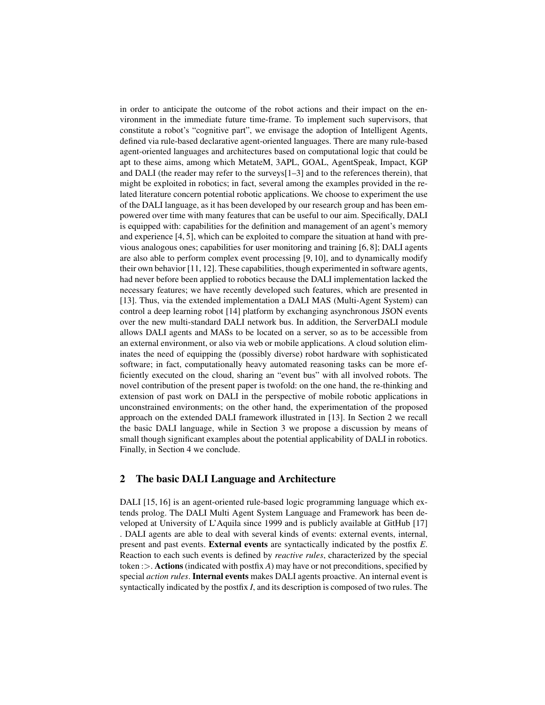in order to anticipate the outcome of the robot actions and their impact on the environment in the immediate future time-frame. To implement such supervisors, that constitute a robot's "cognitive part", we envisage the adoption of Intelligent Agents, defined via rule-based declarative agent-oriented languages. There are many rule-based agent-oriented languages and architectures based on computational logic that could be apt to these aims, among which MetateM, 3APL, GOAL, AgentSpeak, Impact, KGP and DALI (the reader may refer to the surveys[1–3] and to the references therein), that might be exploited in robotics; in fact, several among the examples provided in the related literature concern potential robotic applications. We choose to experiment the use of the DALI language, as it has been developed by our research group and has been empowered over time with many features that can be useful to our aim. Specifically, DALI is equipped with: capabilities for the definition and management of an agent's memory and experience [4, 5], which can be exploited to compare the situation at hand with previous analogous ones; capabilities for user monitoring and training [6, 8]; DALI agents are also able to perform complex event processing [9, 10], and to dynamically modify their own behavior [11, 12]. These capabilities, though experimented in software agents, had never before been applied to robotics because the DALI implementation lacked the necessary features; we have recently developed such features, which are presented in [13]. Thus, via the extended implementation a DALI MAS (Multi-Agent System) can control a deep learning robot [14] platform by exchanging asynchronous JSON events over the new multi-standard DALI network bus. In addition, the ServerDALI module allows DALI agents and MASs to be located on a server, so as to be accessible from an external environment, or also via web or mobile applications. A cloud solution eliminates the need of equipping the (possibly diverse) robot hardware with sophisticated software; in fact, computationally heavy automated reasoning tasks can be more efficiently executed on the cloud, sharing an "event bus" with all involved robots. The novel contribution of the present paper is twofold: on the one hand, the re-thinking and extension of past work on DALI in the perspective of mobile robotic applications in unconstrained environments; on the other hand, the experimentation of the proposed approach on the extended DALI framework illustrated in [13]. In Section 2 we recall the basic DALI language, while in Section 3 we propose a discussion by means of small though significant examples about the potential applicability of DALI in robotics. Finally, in Section 4 we conclude.

## 2 The basic DALI Language and Architecture

DALI [15, 16] is an agent-oriented rule-based logic programming language which extends prolog. The DALI Multi Agent System Language and Framework has been developed at University of L'Aquila since 1999 and is publicly available at GitHub [17] . DALI agents are able to deal with several kinds of events: external events, internal, present and past events. External events are syntactically indicated by the postfix *E*. Reaction to each such events is defined by *reactive rules*, characterized by the special token :>. Actions (indicated with postfix *A*) may have or not preconditions, specified by special *action rules*. Internal events makes DALI agents proactive. An internal event is syntactically indicated by the postfix *I*, and its description is composed of two rules. The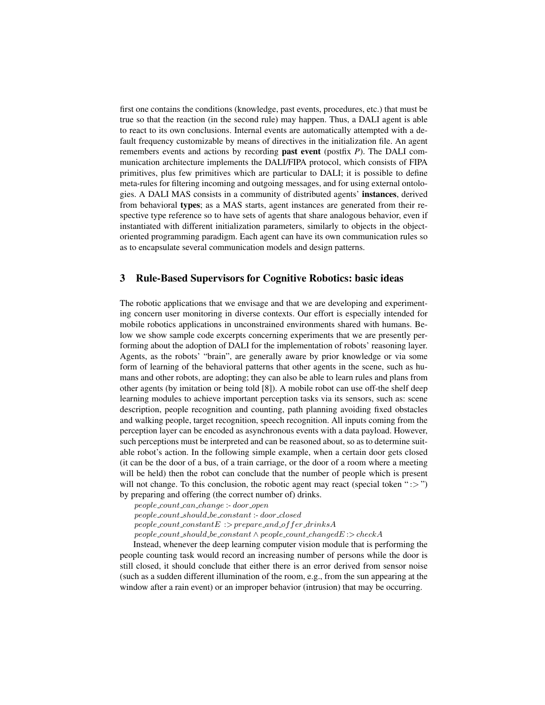first one contains the conditions (knowledge, past events, procedures, etc.) that must be true so that the reaction (in the second rule) may happen. Thus, a DALI agent is able to react to its own conclusions. Internal events are automatically attempted with a default frequency customizable by means of directives in the initialization file. An agent remembers events and actions by recording past event (postfix *P*). The DALI communication architecture implements the DALI/FIPA protocol, which consists of FIPA primitives, plus few primitives which are particular to DALI; it is possible to define meta-rules for filtering incoming and outgoing messages, and for using external ontologies. A DALI MAS consists in a community of distributed agents' instances, derived from behavioral types; as a MAS starts, agent instances are generated from their respective type reference so to have sets of agents that share analogous behavior, even if instantiated with different initialization parameters, similarly to objects in the objectoriented programming paradigm. Each agent can have its own communication rules so as to encapsulate several communication models and design patterns.

# 3 Rule-Based Supervisors for Cognitive Robotics: basic ideas

The robotic applications that we envisage and that we are developing and experimenting concern user monitoring in diverse contexts. Our effort is especially intended for mobile robotics applications in unconstrained environments shared with humans. Below we show sample code excerpts concerning experiments that we are presently performing about the adoption of DALI for the implementation of robots' reasoning layer. Agents, as the robots' "brain", are generally aware by prior knowledge or via some form of learning of the behavioral patterns that other agents in the scene, such as humans and other robots, are adopting; they can also be able to learn rules and plans from other agents (by imitation or being told [8]). A mobile robot can use off-the shelf deep learning modules to achieve important perception tasks via its sensors, such as: scene description, people recognition and counting, path planning avoiding fixed obstacles and walking people, target recognition, speech recognition. All inputs coming from the perception layer can be encoded as asynchronous events with a data payload. However, such perceptions must be interpreted and can be reasoned about, so as to determine suitable robot's action. In the following simple example, when a certain door gets closed (it can be the door of a bus, of a train carriage, or the door of a room where a meeting will be held) then the robot can conclude that the number of people which is present will not change. To this conclusion, the robotic agent may react (special token " $\gg$ ") by preparing and offering (the correct number of) drinks.

 $people\_count\_can\_change: door\_open$  $people\_count\_should\_be\_constant:-door\_closed$  $people_count\_constantE$ :  $\gt$  prepare\_and\_of fer\_drinks A  $people\_count\_should\_be\_constant \wedge people\_count\_changedE: > checkA$ 

Instead, whenever the deep learning computer vision module that is performing the people counting task would record an increasing number of persons while the door is still closed, it should conclude that either there is an error derived from sensor noise (such as a sudden different illumination of the room, e.g., from the sun appearing at the window after a rain event) or an improper behavior (intrusion) that may be occurring.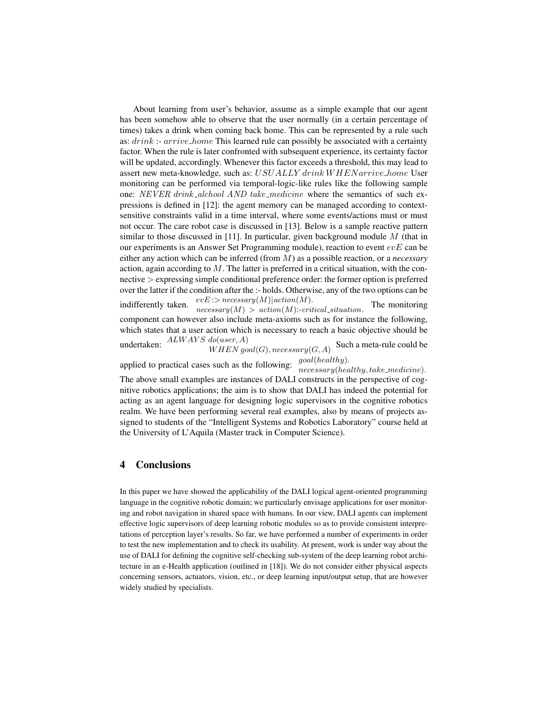About learning from user's behavior, assume as a simple example that our agent has been somehow able to observe that the user normally (in a certain percentage of times) takes a drink when coming back home. This can be represented by a rule such as:  $drink$ :-  $arrive\_home$  This learned rule can possibly be associated with a certainty factor. When the rule is later confronted with subsequent experience, its certainty factor will be updated, accordingly. Whenever this factor exceeds a threshold, this may lead to assert new meta-knowledge, such as: USUALLY drink WHEN arrive home User monitoring can be performed via temporal-logic-like rules like the following sample one: NEVER drink\_alchool AND take\_medicine where the semantics of such expressions is defined in [12]: the agent memory can be managed according to contextsensitive constraints valid in a time interval, where some events/actions must or must not occur. The care robot case is discussed in [13]. Below is a sample reactive pattern similar to those discussed in [11]. In particular, given background module  $M$  (that in our experiments is an Answer Set Programming module), reaction to event  $evE$  can be either any action which can be inferred (from M) as a possible reaction, or a *necessary* action, again according to  $M$ . The latter is preferred in a critical situation, with the connective > expressing simple conditional preference order: the former option is preferred over the latter if the condition after the :- holds. Otherwise, any of the two options can be indifferently taken.  $evE$  :> necessary(M)|action(M).  $necessary(M) > action(M): critical\_situation.$ The monitoring component can however also include meta-axioms such as for instance the following,

which states that a user action which is necessary to reach a basic objective should be undertaken:  $ALWAYS\ do(user, A)$  $WHEN\ goal(G), necessary(G,A)$ Such a meta-rule could be

applied to practical cases such as the following:  $\frac{goal(headthy)}{^\circ}$ . necessary(healthy, take medicine). The above small examples are instances of DALI constructs in the perspective of cognitive robotics applications; the aim is to show that DALI has indeed the potential for acting as an agent language for designing logic supervisors in the cognitive robotics realm. We have been performing several real examples, also by means of projects assigned to students of the "Intelligent Systems and Robotics Laboratory" course held at the University of L'Aquila (Master track in Computer Science).

#### 4 Conclusions

In this paper we have showed the applicability of the DALI logical agent-oriented programming language in the cognitive robotic domain; we particularly envisage applications for user monitoring and robot navigation in shared space with humans. In our view, DALI agents can implement effective logic supervisors of deep learning robotic modules so as to provide consistent interpretations of perception layer's results. So far, we have performed a number of experiments in order to test the new implementation and to check its usability. At present, work is under way about the use of DALI for defining the cognitive self-checking sub-system of the deep learning robot architecture in an e-Health application (outlined in [18]). We do not consider either physical aspects concerning sensors, actuators, vision, etc., or deep learning input/output setup, that are however widely studied by specialists.